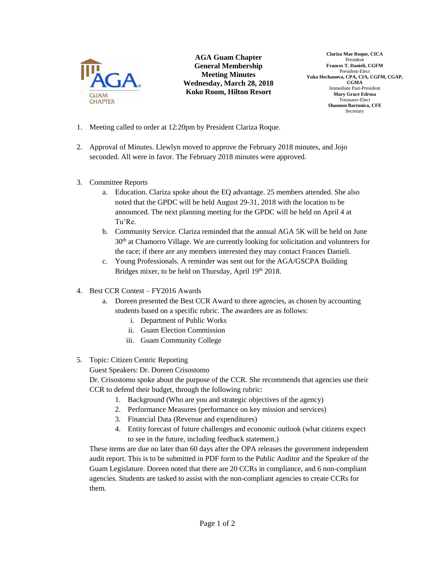

**AGA Guam Chapter General Membership Meeting Minutes Wednesday, March 28, 2018 Koko Room, Hilton Resort**

**Clariza Mae Roque, CICA** President **Frances T. Danieli, CGFM** President-Elect **Yuka Hechanova, CPA, CIA, CGFM, CGAP, CGMA** Immediate Past-President **Mary Grace Edrosa** Treasurer-Elect **Shannon Bartonico, CFE** Secretary

- 1. Meeting called to order at 12:20pm by President Clariza Roque.
- 2. Approval of Minutes. Llewlyn moved to approve the February 2018 minutes, and Jojo seconded. All were in favor. The February 2018 minutes were approved.
- 3. Committee Reports
	- a. Education. Clariza spoke about the EQ advantage. 25 members attended. She also noted that the GPDC will be held August 29-31, 2018 with the location to be announced. The next planning meeting for the GPDC will be held on April 4 at Tu'Re.
	- b. Community Service. Clariza reminded that the annual AGA 5K will be held on June 30th at Chamorro Village. We are currently looking for solicitation and volunteers for the race; if there are any members interested they may contact Frances Danieli.
	- c. Young Professionals. A reminder was sent out for the AGA/GSCPA Building Bridges mixer, to be held on Thursday, April 19th 2018.
- 4. Best CCR Contest FY2016 Awards
	- a. Doreen presented the Best CCR Award to three agencies, as chosen by accounting students based on a specific rubric. The awardees are as follows:
		- i. Department of Public Works
		- ii. Guam Election Commission
		- iii. Guam Community College

## 5. Topic: Citizen Centric Reporting

Guest Speakers: Dr. Doreen Crisostomo

Dr. Crisostomo spoke about the purpose of the CCR. She recommends that agencies use their CCR to defend their budget, through the following rubric:

- 1. Background (Who are you and strategic objectives of the agency)
- 2. Performance Measures (performance on key mission and services)
- 3. Financial Data (Revenue and expenditures)
- 4. Entity forecast of future challenges and economic outlook (what citizens expect to see in the future, including feedback statement.)

These items are due no later than 60 days after the OPA releases the government independent audit report. This is to be submitted in PDF form to the Public Auditor and the Speaker of the Guam Legislature. Doreen noted that there are 20 CCRs in compliance, and 6 non-compliant agencies. Students are tasked to assist with the non-compliant agencies to create CCRs for them.